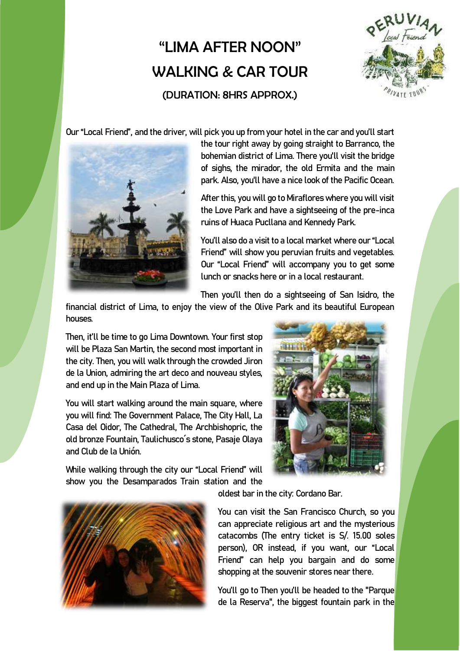## "I IMA AFTFR NOON" WALKING & CAR TOUR (DURATION: 8HRS APPROX.)



Our "Local Friend", and the driver, will pick you up from your hotel in the car and you'll start



the tour right away by going straight to Barranco, the bohemian district of Lima. There you'll visit the bridge of sighs, the mirador, the old Ermita and the main park. Also, you'll have a nice look of the Pacific Ocean.

After this, you will go to Miraflores where you will visit the Love Park and have a sightseeing of the pre-inca ruins of Huaca Pucllana and Kennedy Park.

You'll also do a visit to a local market where our "Local Friend" will show you peruvian fruits and vegetables. Our "Local Friend" will accompany you to get some lunch or snacks here or in a local restaurant.

Then you'll then do a sightseeing of San Isidro, the

financial district of Lima, to enjoy the view of the Olive Park and its beautiful European houses.

Then, it'll be time to go Lima Downtown. Your first stop will be Plaza San Martin, the second most important in the city. Then, you will walk through the crowded Jiron de la Union, admiring the art deco and nouveau styles, and end up in the Main Plaza of Lima.

You will start walking around the main square, where you will find: The Government Palace, The City Hall, La Casa del Oidor, The Cathedral, The Archbishopric, the old bronze Fountain, Taulichusco´s stone, Pasaje Olaya and Club de la Unión.

While walking through the city our "Local Friend" will show you the Desamparados Train station and the



You can visit the San Francisco Church, so you can appreciate religious art and the mysterious catacombs (The entry ticket is S/. 15.00 soles person), OR instead, if you want, our "Local Friend" can help you bargain and do some shopping at the souvenir stores near there.

You'll go to Then you'll be headed to the "Parque de la Reserva", the biggest fountain park in the